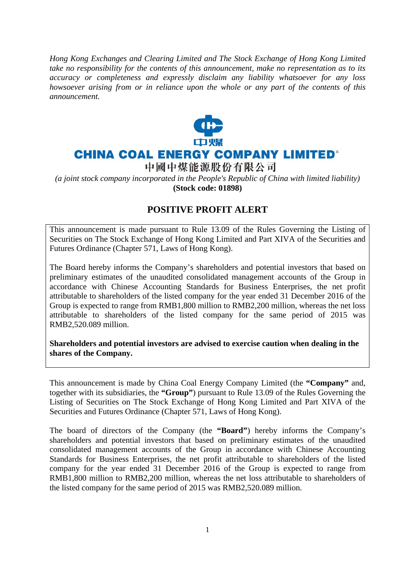*Hong Kong Exchanges and Clearing Limited and The Stock Exchange of Hong Kong Limited take no responsibility for the contents of this announcement, make no representation as to its accuracy or completeness and expressly disclaim any liability whatsoever for any loss howsoever arising from or in reliance upon the whole or any part of the contents of this announcement.* 



## **CHINA COAL ENERGY COMPANY LIMITED®**

中國中煤能源股份有限公司

*(a joint stock company incorporated in the People's Republic of China with limited liability)*  **(Stock code: 01898)** 

## **POSITIVE PROFIT ALERT**

This announcement is made pursuant to Rule 13.09 of the Rules Governing the Listing of Securities on The Stock Exchange of Hong Kong Limited and Part XIVA of the Securities and Futures Ordinance (Chapter 571, Laws of Hong Kong).

The Board hereby informs the Company's shareholders and potential investors that based on preliminary estimates of the unaudited consolidated management accounts of the Group in accordance with Chinese Accounting Standards for Business Enterprises, the net profit attributable to shareholders of the listed company for the year ended 31 December 2016 of the Group is expected to range from RMB1,800 million to RMB2,200 million, whereas the net loss attributable to shareholders of the listed company for the same period of 2015 was RMB2,520.089 million.

**Shareholders and potential investors are advised to exercise caution when dealing in the shares of the Company.** 

This announcement is made by China Coal Energy Company Limited (the **"Company"** and, together with its subsidiaries, the **"Group"**) pursuant to Rule 13.09 of the Rules Governing the Listing of Securities on The Stock Exchange of Hong Kong Limited and Part XIVA of the Securities and Futures Ordinance (Chapter 571, Laws of Hong Kong).

The board of directors of the Company (the **"Board"**) hereby informs the Company's shareholders and potential investors that based on preliminary estimates of the unaudited consolidated management accounts of the Group in accordance with Chinese Accounting Standards for Business Enterprises, the net profit attributable to shareholders of the listed company for the year ended 31 December 2016 of the Group is expected to range from RMB1,800 million to RMB2,200 million, whereas the net loss attributable to shareholders of the listed company for the same period of 2015 was RMB2,520.089 million.